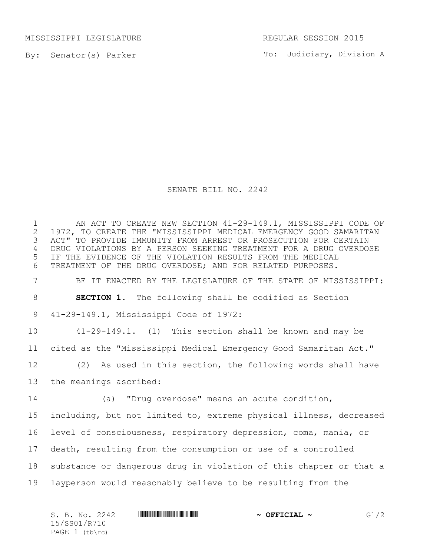MISSISSIPPI LEGISLATURE REGULAR SESSION 2015

By: Senator(s) Parker

To: Judiciary, Division A

## SENATE BILL NO. 2242

1 AN ACT TO CREATE NEW SECTION 41-29-149.1, MISSISSIPPI CODE OF<br>2 1972, TO CREATE THE "MISSISSIPPI MEDICAL EMERGENCY GOOD SAMARITAN 2 1972, TO CREATE THE "MISSISSIPPI MEDICAL EMERGENCY GOOD SAMARITAN<br>3 ACT" TO PROVIDE IMMUNITY FROM ARREST OR PROSECUTION FOR CERTAIN ACT" TO PROVIDE IMMUNITY FROM ARREST OR PROSECUTION FOR CERTAIN DRUG VIOLATIONS BY A PERSON SEEKING TREATMENT FOR A DRUG OVERDOSE IF THE EVIDENCE OF THE VIOLATION RESULTS FROM THE MEDICAL TREATMENT OF THE DRUG OVERDOSE; AND FOR RELATED PURPOSES. BE IT ENACTED BY THE LEGISLATURE OF THE STATE OF MISSISSIPPI: **SECTION 1.** The following shall be codified as Section 41-29-149.1, Mississippi Code of 1972: 41-29-149.1. (1) This section shall be known and may be cited as the "Mississippi Medical Emergency Good Samaritan Act." (2) As used in this section, the following words shall have the meanings ascribed: (a) "Drug overdose" means an acute condition, including, but not limited to, extreme physical illness, decreased level of consciousness, respiratory depression, coma, mania, or death, resulting from the consumption or use of a controlled substance or dangerous drug in violation of this chapter or that a layperson would reasonably believe to be resulting from the

S. B. No. 2242 \*SS01/R710\* **~ OFFICIAL ~** G1/2 15/SS01/R710 PAGE (tb\rc)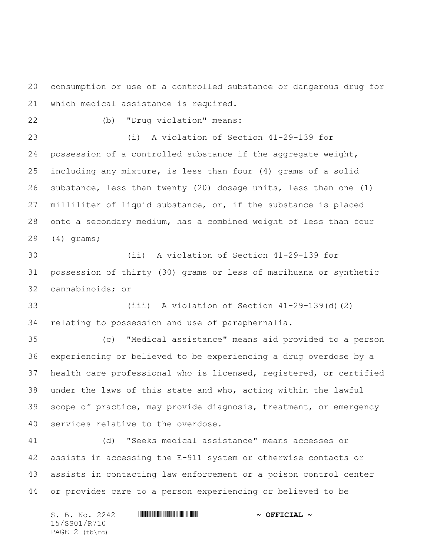consumption or use of a controlled substance or dangerous drug for which medical assistance is required.

(b) "Drug violation" means:

 (i) A violation of Section 41-29-139 for possession of a controlled substance if the aggregate weight, including any mixture, is less than four (4) grams of a solid substance, less than twenty (20) dosage units, less than one (1) milliliter of liquid substance, or, if the substance is placed onto a secondary medium, has a combined weight of less than four (4) grams;

 (ii) A violation of Section 41-29-139 for possession of thirty (30) grams or less of marihuana or synthetic cannabinoids; or

 (iii) A violation of Section 41-29-139(d)(2) relating to possession and use of paraphernalia.

 (c) "Medical assistance" means aid provided to a person experiencing or believed to be experiencing a drug overdose by a health care professional who is licensed, registered, or certified under the laws of this state and who, acting within the lawful scope of practice, may provide diagnosis, treatment, or emergency services relative to the overdose.

 (d) "Seeks medical assistance" means accesses or assists in accessing the E-911 system or otherwise contacts or assists in contacting law enforcement or a poison control center or provides care to a person experiencing or believed to be

S. B. No. 2242 \*SS01/R710\* **~ OFFICIAL ~** 15/SS01/R710 PAGE 2 (tb\rc)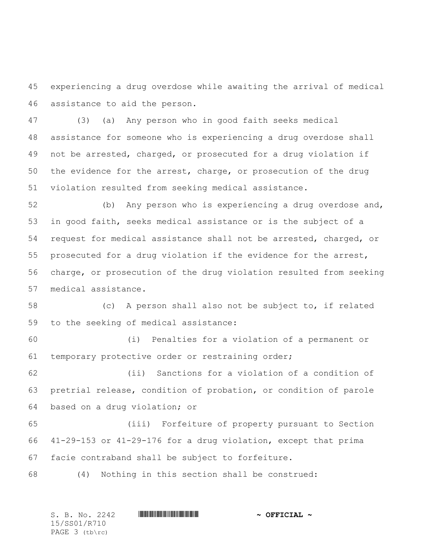experiencing a drug overdose while awaiting the arrival of medical assistance to aid the person.

 (3) (a) Any person who in good faith seeks medical assistance for someone who is experiencing a drug overdose shall not be arrested, charged, or prosecuted for a drug violation if the evidence for the arrest, charge, or prosecution of the drug violation resulted from seeking medical assistance.

 (b) Any person who is experiencing a drug overdose and, in good faith, seeks medical assistance or is the subject of a request for medical assistance shall not be arrested, charged, or prosecuted for a drug violation if the evidence for the arrest, charge, or prosecution of the drug violation resulted from seeking medical assistance.

 (c) A person shall also not be subject to, if related to the seeking of medical assistance:

 (i) Penalties for a violation of a permanent or temporary protective order or restraining order;

 (ii) Sanctions for a violation of a condition of pretrial release, condition of probation, or condition of parole based on a drug violation; or

 (iii) Forfeiture of property pursuant to Section 41-29-153 or 41-29-176 for a drug violation, except that prima facie contraband shall be subject to forfeiture.

(4) Nothing in this section shall be construed:

S. B. No. 2242 \*SS01/R710\* **~ OFFICIAL ~** 15/SS01/R710 PAGE 3 (tb\rc)